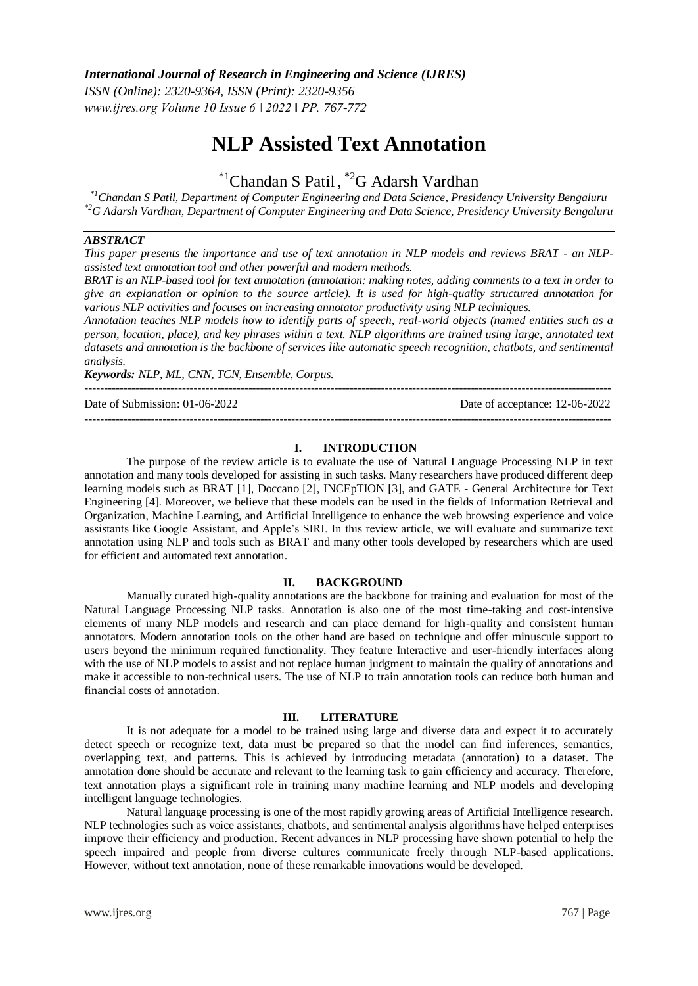# **NLP Assisted Text Annotation**

# \*1Chandan S Patil , \*2G Adarsh Vardhan

*\*1Chandan S Patil, Department of Computer Engineering and Data Science, Presidency University Bengaluru \*2G Adarsh Vardhan, Department of Computer Engineering and Data Science, Presidency University Bengaluru*

#### *ABSTRACT*

*This paper presents the importance and use of text annotation in NLP models and reviews BRAT - an NLPassisted text annotation tool and other powerful and modern methods.*

*BRAT is an NLP-based tool for text annotation (annotation: making notes, adding comments to a text in order to give an explanation or opinion to the source article). It is used for high-quality structured annotation for various NLP activities and focuses on increasing annotator productivity using NLP techniques.*

*Annotation teaches NLP models how to identify parts of speech, real-world objects (named entities such as a person, location, place), and key phrases within a text. NLP algorithms are trained using large, annotated text datasets and annotation is the backbone of services like automatic speech recognition, chatbots, and sentimental analysis.*

---------------------------------------------------------------------------------------------------------------------------------------

---------------------------------------------------------------------------------------------------------------------------------------

*Keywords: NLP, ML, CNN, TCN, Ensemble, Corpus.*

Date of Submission: 01-06-2022 Date of acceptance: 12-06-2022

#### **I. INTRODUCTION**

The purpose of the review article is to evaluate the use of Natural Language Processing NLP in text annotation and many tools developed for assisting in such tasks. Many researchers have produced different deep learning models such as BRAT [1], Doccano [2], INCEpTION [3], and GATE - General Architecture for Text Engineering [4]. Moreover, we believe that these models can be used in the fields of Information Retrieval and Organization, Machine Learning, and Artificial Intelligence to enhance the web browsing experience and voice assistants like Google Assistant, and Apple's SIRI. In this review article, we will evaluate and summarize text annotation using NLP and tools such as BRAT and many other tools developed by researchers which are used for efficient and automated text annotation.

#### **II. BACKGROUND**

Manually curated high-quality annotations are the backbone for training and evaluation for most of the Natural Language Processing NLP tasks. Annotation is also one of the most time-taking and cost-intensive elements of many NLP models and research and can place demand for high-quality and consistent human annotators. Modern annotation tools on the other hand are based on technique and offer minuscule support to users beyond the minimum required functionality. They feature Interactive and user-friendly interfaces along with the use of NLP models to assist and not replace human judgment to maintain the quality of annotations and make it accessible to non-technical users. The use of NLP to train annotation tools can reduce both human and financial costs of annotation.

#### **III. LITERATURE**

It is not adequate for a model to be trained using large and diverse data and expect it to accurately detect speech or recognize text, data must be prepared so that the model can find inferences, semantics, overlapping text, and patterns. This is achieved by introducing metadata (annotation) to a dataset. The annotation done should be accurate and relevant to the learning task to gain efficiency and accuracy. Therefore, text annotation plays a significant role in training many machine learning and NLP models and developing intelligent language technologies.

Natural language processing is one of the most rapidly growing areas of Artificial Intelligence research. NLP technologies such as voice assistants, chatbots, and sentimental analysis algorithms have helped enterprises improve their efficiency and production. Recent advances in NLP processing have shown potential to help the speech impaired and people from diverse cultures communicate freely through NLP-based applications. However, without text annotation, none of these remarkable innovations would be developed.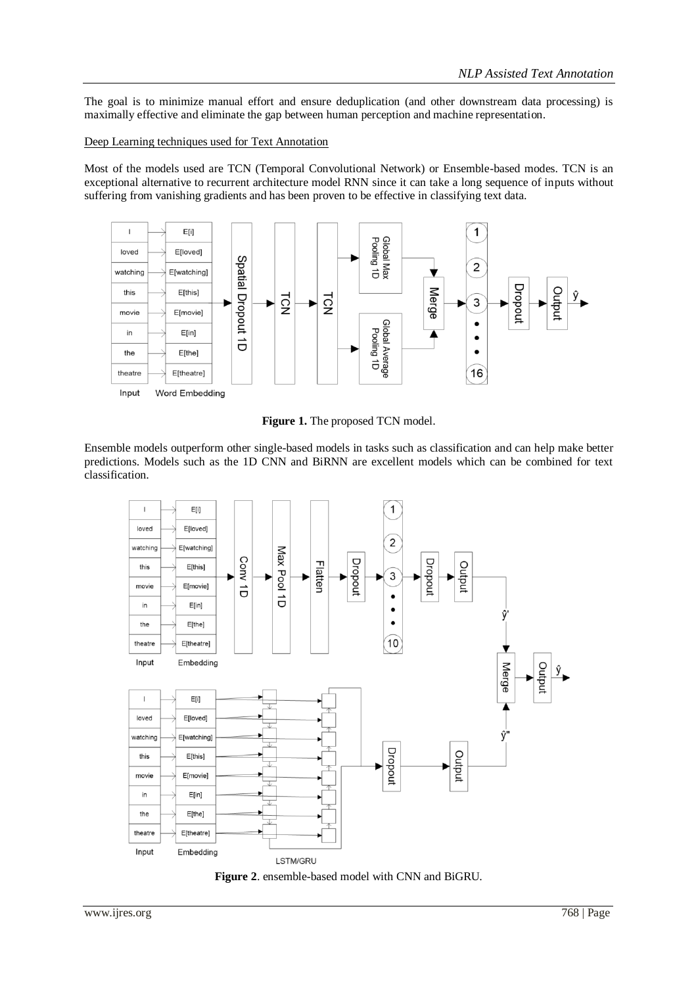The goal is to minimize manual effort and ensure deduplication (and other downstream data processing) is maximally effective and eliminate the gap between human perception and machine representation.

#### Deep Learning techniques used for Text Annotation

Most of the models used are TCN (Temporal Convolutional Network) or Ensemble-based modes. TCN is an exceptional alternative to recurrent architecture model RNN since it can take a long sequence of inputs without suffering from vanishing gradients and has been proven to be effective in classifying text data.



**Figure 1.** The proposed TCN model.

Ensemble models outperform other single-based models in tasks such as classification and can help make better predictions. Models such as the 1D CNN and BiRNN are excellent models which can be combined for text classification.



**Figure 2**. ensemble-based model with CNN and BiGRU.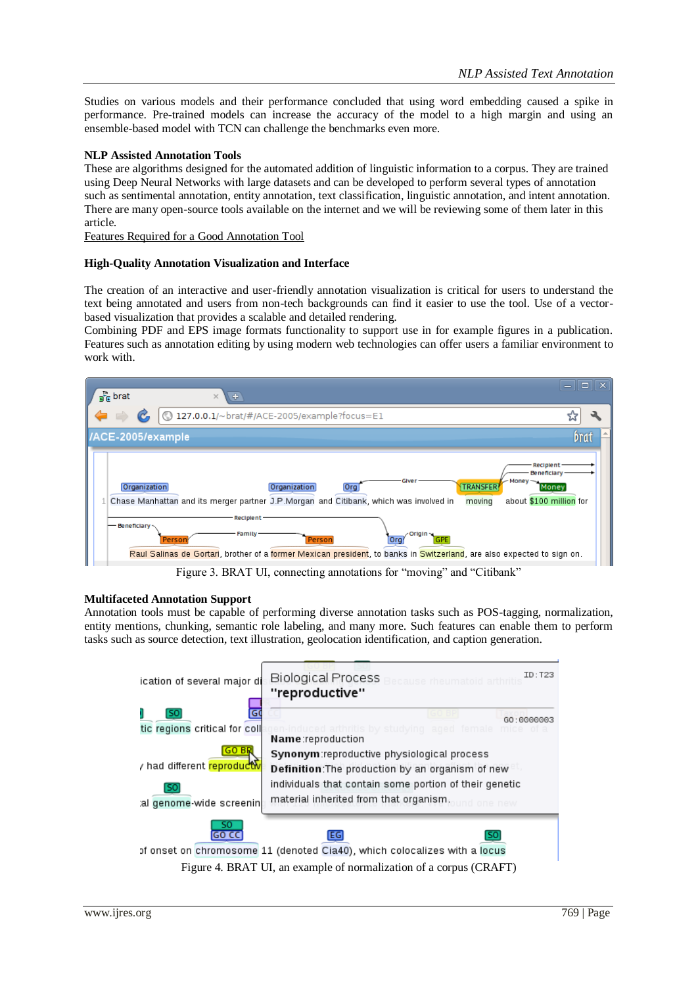Studies on various models and their performance concluded that using word embedding caused a spike in performance. Pre-trained models can increase the accuracy of the model to a high margin and using an ensemble-based model with TCN can challenge the benchmarks even more.

#### **NLP Assisted Annotation Tools**

These are algorithms designed for the automated addition of linguistic information to a corpus. They are trained using Deep Neural Networks with large datasets and can be developed to perform several types of annotation such as sentimental annotation, entity annotation, text classification, linguistic annotation, and intent annotation. There are many open-source tools available on the internet and we will be reviewing some of them later in this article.

Features Required for a Good Annotation Tool

#### **High-Quality Annotation Visualization and Interface**

The creation of an interactive and user-friendly annotation visualization is critical for users to understand the text being annotated and users from non-tech backgrounds can find it easier to use the tool. Use of a vectorbased visualization that provides a scalable and detailed rendering.

Combining PDF and EPS image formats functionality to support use in for example figures in a publication. Features such as annotation editing by using modern web technologies can offer users a familiar environment to work with.



Figure 3. BRAT UI, connecting annotations for "moving" and "Citibank"

#### **Multifaceted Annotation Support**

Annotation tools must be capable of performing diverse annotation tasks such as POS-tagging, normalization, entity mentions, chunking, semantic role labeling, and many more. Such features can enable them to perform tasks such as source detection, text illustration, geolocation identification, and caption generation.

| ication of several major di                                        | <b>Biological Process</b><br>cause rheumatoid arthritis<br>"reproductive"                                                                                | ID: T23     |  |  |
|--------------------------------------------------------------------|----------------------------------------------------------------------------------------------------------------------------------------------------------|-------------|--|--|
| S0<br>tic regions critical for coll                                | arthritis by studying aged female mice<br>Name:reproduction                                                                                              | GO: 0000003 |  |  |
| r had different <mark>reproductw</mark>                            | Synonym:reproductive physiological process<br>Definition: The production by an organism of new<br>individuals that contain some portion of their genetic |             |  |  |
| material inherited from that organism.<br>al genome wide screenin  |                                                                                                                                                          |             |  |  |
|                                                                    | EG<br>of onset on chromosome 11 (denoted Cia40), which colocalizes with a locus                                                                          |             |  |  |
| Figure 4. BRAT UI, an example of normalization of a corpus (CRAFT) |                                                                                                                                                          |             |  |  |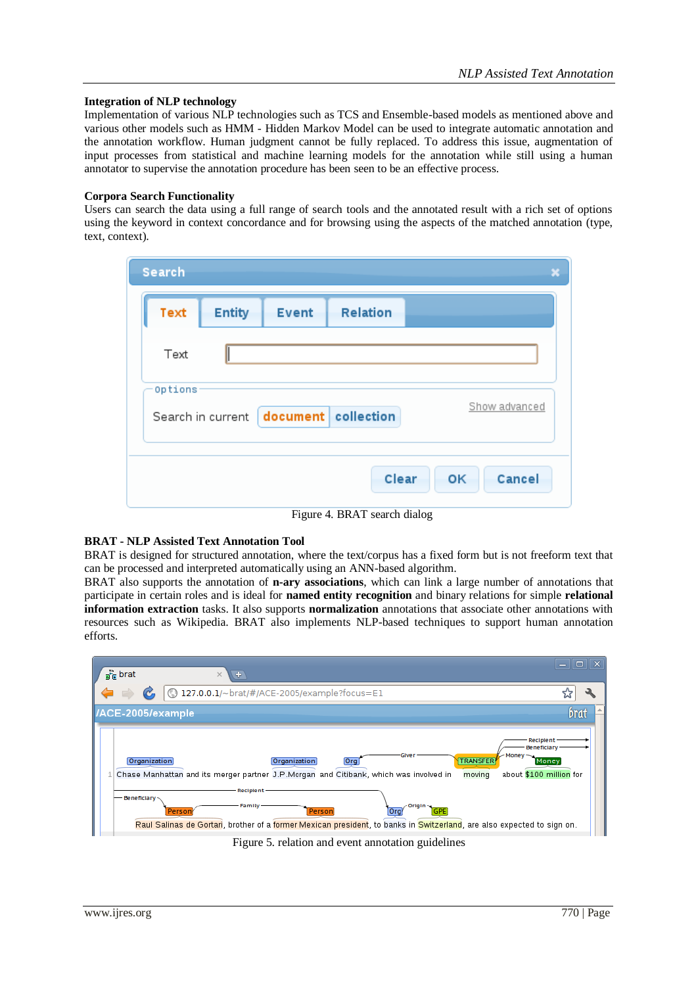## **Integration of NLP technology**

Implementation of various NLP technologies such as TCS and Ensemble-based models as mentioned above and various other models such as HMM - Hidden Markov Model can be used to integrate automatic annotation and the annotation workflow. Human judgment cannot be fully replaced. To address this issue, augmentation of input processes from statistical and machine learning models for the annotation while still using a human annotator to supervise the annotation procedure has been seen to be an effective process.

# **Corpora Search Functionality**

Users can search the data using a full range of search tools and the annotated result with a rich set of options using the keyword in context concordance and for browsing using the aspects of the matched annotation (type, text, context).

| Search  |                   |              |                     | $\overline{\mathbf{x}}$ |
|---------|-------------------|--------------|---------------------|-------------------------|
| Text    | <b>Entity</b>     | <b>Event</b> | Relation            |                         |
| Text    |                   |              |                     |                         |
| Options | Search in current |              | document collection | Show advanced           |
|         |                   |              | Clear               | Cancel<br>OK            |

Figure 4. BRAT search dialog

# **BRAT - NLP Assisted Text Annotation Tool**

BRAT is designed for structured annotation, where the text/corpus has a fixed form but is not freeform text that can be processed and interpreted automatically using an ANN-based algorithm.

BRAT also supports the annotation of **n-ary associations**, which can link a large number of annotations that participate in certain roles and is ideal for **named entity recognition** and binary relations for simple **relational information extraction** tasks. It also supports **normalization** annotations that associate other annotations with resources such as Wikipedia. BRAT also implements NLP-based techniques to support human annotation efforts.



Figure 5. relation and event annotation guidelines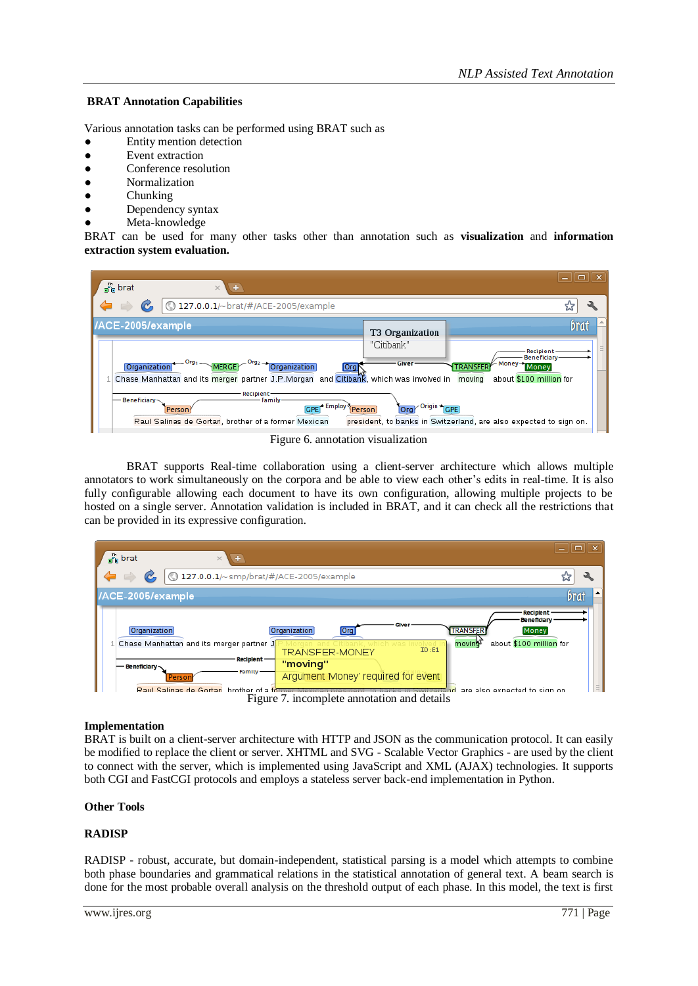# **BRAT Annotation Capabilities**

Various annotation tasks can be performed using BRAT such as

- Entity mention detection
- **Event extraction**
- Conference resolution
- **Normalization**
- Chunking
- Dependency syntax
- Meta-knowledge

BRAT can be used for many other tasks other than annotation such as **visualization** and **information extraction system evaluation.**



Figure 6. annotation visualization

BRAT supports Real-time collaboration using a client-server architecture which allows multiple annotators to work simultaneously on the corpora and be able to view each other's edits in real-time. It is also fully configurable allowing each document to have its own configuration, allowing multiple projects to be hosted on a single server. Annotation validation is included in BRAT, and it can check all the restrictions that can be provided in its expressive configuration.



#### **Implementation**

BRAT is built on a client-server architecture with HTTP and JSON as the communication protocol. It can easily be modified to replace the client or server. XHTML and SVG - Scalable Vector Graphics - are used by the client to connect with the server, which is implemented using JavaScript and XML (AJAX) technologies. It supports both CGI and FastCGI protocols and employs a stateless server back-end implementation in Python.

#### **Other Tools**

#### **RADISP**

RADISP - robust, accurate, but domain-independent, statistical parsing is a model which attempts to combine both phase boundaries and grammatical relations in the statistical annotation of general text. A beam search is done for the most probable overall analysis on the threshold output of each phase. In this model, the text is first